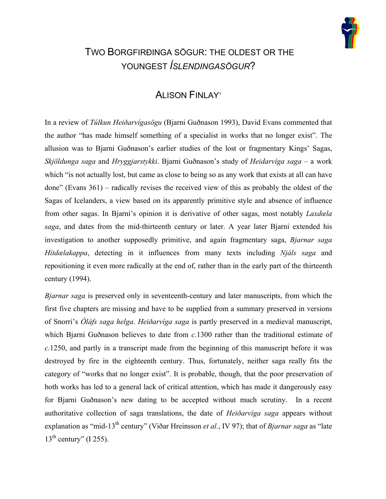

## TWO BORGFIRÐINGA SÖGUR: THE OLDEST OR THE YOUNGEST *ÍSLENDINGASÖGUR*?

## ALISON FINLA[Y1](#page-13-0)

In a review of *Túlkun Heiðarvígasögu* (Bjarni Guðnason 1993), David Evans commented that the author "has made himself something of a specialist in works that no longer exist". The allusion was to Bjarni Guðnason's earlier studies of the lost or fragmentary Kings' Sagas, *Skjöldunga saga* and *Hryggjarstykki*. Bjarni Guðnason's study of *Heidarvíga saga –* a work which "is not actually lost, but came as close to being so as any work that exists at all can have done" (Evans 361) – radically revises the received view of this as probably the oldest of the Sagas of Icelanders, a view based on its apparently primitive style and absence of influence from other sagas. In Bjarni's opinion it is derivative of other sagas, most notably *Laxdœla saga*, and dates from the mid-thirteenth century or later. A year later Bjarni extended his investigation to another supposedly primitive, and again fragmentary saga, *Bjarnar saga Hítdœlakappa*, detecting in it influences from many texts including *Njáls saga* and repositioning it even more radically at the end of, rather than in the early part of the thirteenth century (1994).

*Bjarnar saga* is preserved only in seventeenth-century and later manuscripts, from which the first five chapters are missing and have to be supplied from a summary preserved in versions of Snorri's *Óláfs saga helga*. *Heiðarvíga saga* is partly preserved in a medieval manuscript, which Bjarni Guðnason believes to date from *c.*1300 rather than the traditional estimate of *c.*1250, and partly in a transcript made from the beginning of this manuscript before it was destroyed by fire in the eighteenth century. Thus, fortunately, neither saga really fits the category of "works that no longer exist". It is probable, though, that the poor preservation of both works has led to a general lack of critical attention, which has made it dangerously easy for Bjarni Guðnason's new dating to be accepted without much scrutiny. In a recent authoritative collection of saga translations, the date of *Heiðarvíga saga* appears without explanation as "mid-13<sup>th</sup> century" (Viðar Hreinsson *et al.*, IV 97); that of *Bjarnar saga* as "late  $13<sup>th</sup>$  century" (I 255).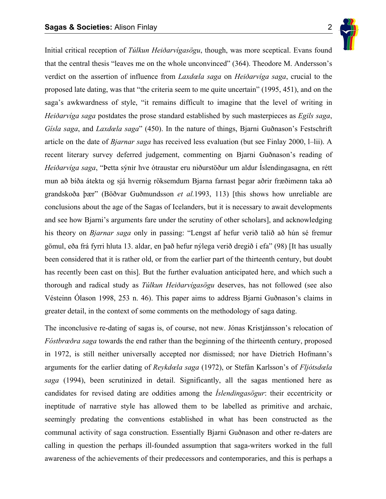

Initial critical reception of *Túlkun Heiðarvígasögu*, though, was more sceptical. Evans found that the central thesis "leaves me on the whole unconvinced" (364). Theodore M. Andersson's verdict on the assertion of influence from *Laxdœla saga* on *Heiðarvíga saga*, crucial to the proposed late dating, was that "the criteria seem to me quite uncertain" (1995, 451), and on the saga's awkwardness of style, "it remains difficult to imagine that the level of writing in *Heiðarvíga saga* postdates the prose standard established by such masterpieces as *Egils saga*, *Gísla saga*, and *Laxdœla saga*" (450). In the nature of things, Bjarni Guðnason's Festschrift article on the date of *Bjarnar saga* has received less evaluation (but see Finlay 2000, l–lii). A recent literary survey deferred judgement, commenting on Bjarni Guðnason's reading of *Heiðarvíga saga*, "Þetta sýnir hve ótraustar eru niðurstöður um aldur Íslendingasagna, en rétt mun að bíða átekta og sjá hvernig röksemdum Bjarna farnast þegar aðrir fræðimenn taka að grandskoða þær" (Böðvar Guðmundsson *et al.*1993, 113) [this shows how unreliable are conclusions about the age of the Sagas of Icelanders, but it is necessary to await developments and see how Bjarni's arguments fare under the scrutiny of other scholars], and acknowledging his theory on *Bjarnar saga* only in passing: "Lengst af hefur verið talið að hún sé fremur gömul, eða frá fyrri hluta 13. aldar, en það hefur nýlega verið dregið í efa" (98) [It has usually been considered that it is rather old, or from the earlier part of the thirteenth century, but doubt has recently been cast on this]. But the further evaluation anticipated here, and which such a thorough and radical study as *Túlkun Heiðarvígasögu* deserves, has not followed (see also Vésteinn Ólason 1998, 253 n. 46). This paper aims to address Bjarni Guðnason's claims in greater detail, in the context of some comments on the methodology of saga dating.

The inconclusive re-dating of sagas is, of course, not new. Jónas Kristjánsson's relocation of *Fóstbrœðra saga* towards the end rather than the beginning of the thirteenth century, proposed in 1972, is still neither universally accepted nor dismissed; nor have Dietrich Hofmann's arguments for the earlier dating of *Reykdœla saga* (1972), or Stefán Karlsson's of *Fljótsdœla saga* (1994), been scrutinized in detail. Significantly, all the sagas mentioned here as candidates for revised dating are oddities among the *Íslendingasögur*: their eccentricity or ineptitude of narrative style has allowed them to be labelled as primitive and archaic, seemingly predating the conventions established in what has been constructed as the communal activity of saga construction. Essentially Bjarni Guðnason and other re-daters are calling in question the perhaps ill-founded assumption that saga-writers worked in the full awareness of the achievements of their predecessors and contemporaries, and this is perhaps a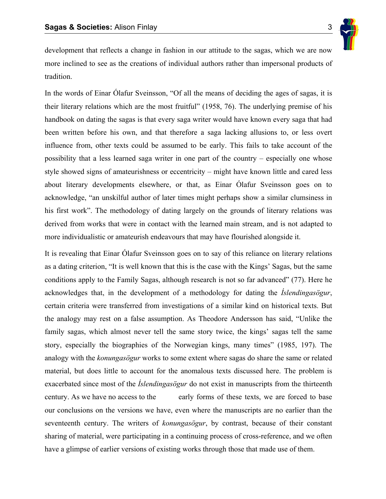

development that reflects a change in fashion in our attitude to the sagas, which we are now more inclined to see as the creations of individual authors rather than impersonal products of tradition.

In the words of Einar Ólafur Sveinsson, "Of all the means of deciding the ages of sagas, it is their literary relations which are the most fruitful" (1958, 76). The underlying premise of his handbook on dating the sagas is that every saga writer would have known every saga that had been written before his own, and that therefore a saga lacking allusions to, or less overt influence from, other texts could be assumed to be early. This fails to take account of the possibility that a less learned saga writer in one part of the country – especially one whose style showed signs of amateurishness or eccentricity – might have known little and cared less about literary developments elsewhere, or that, as Einar Ólafur Sveinsson goes on to acknowledge, "an unskilful author of later times might perhaps show a similar clumsiness in his first work". The methodology of dating largely on the grounds of literary relations was derived from works that were in contact with the learned main stream, and is not adapted to more individualistic or amateurish endeavours that may have flourished alongside it.

It is revealing that Einar Ólafur Sveinsson goes on to say of this reliance on literary relations as a dating criterion, "It is well known that this is the case with the Kings' Sagas, but the same conditions apply to the Family Sagas, although research is not so far advanced" (77). Here he acknowledges that, in the development of a methodology for dating the *Íslendingasögur*, certain criteria were transferred from investigations of a similar kind on historical texts. But the analogy may rest on a false assumption. As Theodore Andersson has said, "Unlike the family sagas, which almost never tell the same story twice, the kings' sagas tell the same story, especially the biographies of the Norwegian kings, many times" (1985, 197). The analogy with the *konungasögur* works to some extent where sagas do share the same or related material, but does little to account for the anomalous texts discussed here. The problem is exacerbated since most of the *Íslendingasögur* do not exist in manuscripts from the thirteenth century. As we have no access to the early forms of these texts, we are forced to base our conclusions on the versions we have, even where the manuscripts are no earlier than the seventeenth century. The writers of *konungasögur*, by contrast, because of their constant sharing of material, were participating in a continuing process of cross-reference, and we often have a glimpse of earlier versions of existing works through those that made use of them.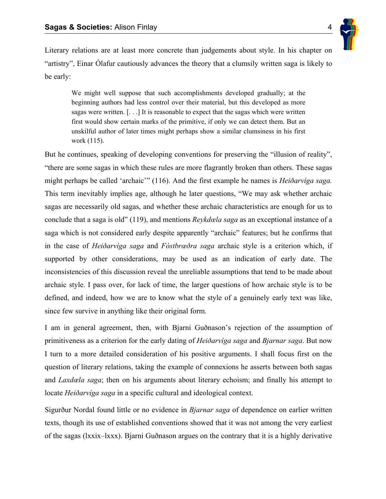

Literary relations are at least more concrete than judgements about style. In his chapter on "artistry", Einar Ólafur cautiously advances the theory that a clumsily written saga is likely to be early:

We might well suppose that such accomplishments developed gradually; at the beginning authors had less control over their material, but this developed as more sagas were written. [. . .] It is reasonable to expect that the sagas which were written first would show certain marks of the primitive, if only we can detect them. But an unskilful author of later times might perhaps show a similar clumsiness in his first work (115).

But he continues, speaking of developing conventions for preserving the "illusion of reality", "there are some sagas in which these rules are more flagrantly broken than others. These sagas might perhaps be called 'archaic'" (116). And the first example he names is *Heiðarvíga saga.*  This term inevitably implies age, although he later questions, "We may ask whether archaic sagas are necessarily old sagas, and whether these archaic characteristics are enough for us to conclude that a saga is old" (119), and mentions *Reykdœla saga* as an exceptional instance of a saga which is not considered early despite apparently "archaic" features; but he confirms that in the case of *Heiðarvíga saga* and *Fóstbrœðra saga* archaic style is a criterion which, if supported by other considerations, may be used as an indication of early date. The inconsistencies of this discussion reveal the unreliable assumptions that tend to be made about archaic style. I pass over, for lack of time, the larger questions of how archaic style is to be defined, and indeed, how we are to know what the style of a genuinely early text was like, since few survive in anything like their original form.

I am in general agreement, then, with Bjarni Guðnason's rejection of the assumption of primitiveness as a criterion for the early dating of *Heiðarvíga saga* and *Bjarnar saga*. But now I turn to a more detailed consideration of his positive arguments. I shall focus first on the question of literary relations, taking the example of connexions he asserts between both sagas and *Laxdœla saga*; then on his arguments about literary echoism; and finally his attempt to locate *Heiðarvíga saga* in a specific cultural and ideological context.

Sigurður Nordal found little or no evidence in *Bjarnar saga* of dependence on earlier written texts, though its use of established conventions showed that it was not among the very earliest of the sagas (lxxix–lxxx). Bjarni Guðnason argues on the contrary that it is a highly derivative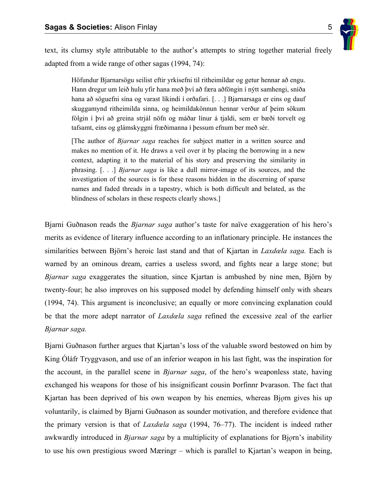

text, its clumsy style attributable to the author's attempts to string together material freely adapted from a wide range of other sagas (1994, 74):

Höfundur Bjarnarsögu seilist eftir yrkisefni til ritheimildar og getur hennar að engu. Hann dregur um leið hulu yfir hana með því að færa aðföngin í nýtt samhengi, sníða hana að söguefni sína og varast líkindi í orðafari. [...] Bjarnarsaga er eins og dauf skuggamynd ritheimilda sinna, og heimildakönnun hennar verður af þeim sökum fólgin í því að greina strjál nöfn og máðar línur á tjaldi, sem er bæði torvelt og tafsamt, eins og glámskyggni fræðimanna í þessum efnum ber með sér.

[The author of *Bjarnar saga* reaches for subject matter in a written source and makes no mention of it. He draws a veil over it by placing the borrowing in a new context, adapting it to the material of his story and preserving the similarity in phrasing. [. . .] *Bjarnar saga* is like a dull mirror-image of its sources, and the investigation of the sources is for these reasons hidden in the discerning of sparse names and faded threads in a tapestry, which is both difficult and belated, as the blindness of scholars in these respects clearly shows.]

Bjarni Guðnason reads the *Bjarnar saga* author's taste for naïve exaggeration of his hero's merits as evidence of literary influence according to an inflationary principle. He instances the similarities between Björn's heroic last stand and that of Kjartan in *Laxdœla saga.* Each is warned by an ominous dream, carries a useless sword, and fights near a large stone; but *Bjarnar saga* exaggerates the situation, since Kjartan is ambushed by nine men, Björn by twenty-four; he also improves on his supposed model by defending himself only with shears (1994, 74). This argument is inconclusive; an equally or more convincing explanation could be that the more adept narrator of *Laxdœla saga* refined the excessive zeal of the earlier *Bjarnar saga.* 

Bjarni Guðnason further argues that Kjartan's loss of the valuable sword bestowed on him by King Óláfr Tryggvason, and use of an inferior weapon in his last fight, was the inspiration for the account, in the parallel scene in *Bjarnar saga*, of the hero's weaponless state, having exchanged his weapons for those of his insignificant cousin Þorfinnr Þvarason. The fact that Kjartan has been deprived of his own weapon by his enemies, whereas Bj<sub>*Q*</sub>rn gives his up voluntarily, is claimed by Bjarni Guðnason as sounder motivation, and therefore evidence that the primary version is that of *Laxdœla saga* (1994, 76–77). The incident is indeed rather awkwardly introduced in *Bjarnar saga* by a multiplicity of explanations for Bjørn's inability to use his own prestigious sword Mæringr – which is parallel to Kjartan's weapon in being,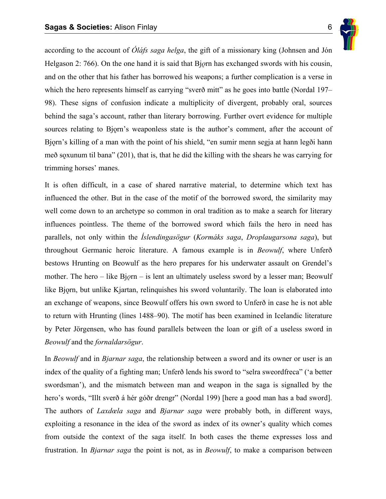

according to the account of *Óláfs saga helga*, the gift of a missionary king (Johnsen and Jón Helgason 2: 766). On the one hand it is said that Bj<sub>Q</sub>rn has exchanged swords with his cousin, and on the other that his father has borrowed his weapons; a further complication is a verse in which the hero represents himself as carrying "sverð mitt" as he goes into battle (Nordal 197– 98). These signs of confusion indicate a multiplicity of divergent, probably oral, sources behind the saga's account, rather than literary borrowing. Further overt evidence for multiple sources relating to Bjorn's weaponless state is the author's comment, after the account of Bjorn's killing of a man with the point of his shield, "en sumir menn segja at hann legði hann með s $\alpha$ xunum til bana" (201), that is, that he did the killing with the shears he was carrying for trimming horses' manes.

It is often difficult, in a case of shared narrative material, to determine which text has influenced the other. But in the case of the motif of the borrowed sword, the similarity may well come down to an archetype so common in oral tradition as to make a search for literary influences pointless. The theme of the borrowed sword which fails the hero in need has parallels, not only within the *Íslendingasögur* (*Kormáks saga*, *Droplaugarsona saga*), but throughout Germanic heroic literature. A famous example is in *Beowulf*, where Unferð bestows Hrunting on Beowulf as the hero prepares for his underwater assault on Grendel's mother. The hero – like B<sub>l</sub><sub>Q</sub><sub>rn</sub> – is lent an ultimately useless sword by a lesser man; Beowulf like Bjorn, but unlike Kjartan, relinquishes his sword voluntarily. The loan is elaborated into an exchange of weapons, since Beowulf offers his own sword to Unferð in case he is not able to return with Hrunting (lines 1488–90). The motif has been examined in Icelandic literature by Peter Jörgensen, who has found parallels between the loan or gift of a useless sword in *Beowulf* and the *fornaldarsögur*.

In *Beowulf* and in *Bjarnar saga*, the relationship between a sword and its owner or user is an index of the quality of a fighting man; Unferð lends his sword to "selra sweordfreca" ('a better swordsman'), and the mismatch between man and weapon in the saga is signalled by the hero's words, "Illt sverð á hér góðr drengr" (Nordal 199) [here a good man has a bad sword]. The authors of *Laxdœla saga* and *Bjarnar saga* were probably both, in different ways, exploiting a resonance in the idea of the sword as index of its owner's quality which comes from outside the context of the saga itself. In both cases the theme expresses loss and frustration. In *Bjarnar saga* the point is not, as in *Beowulf*, to make a comparison between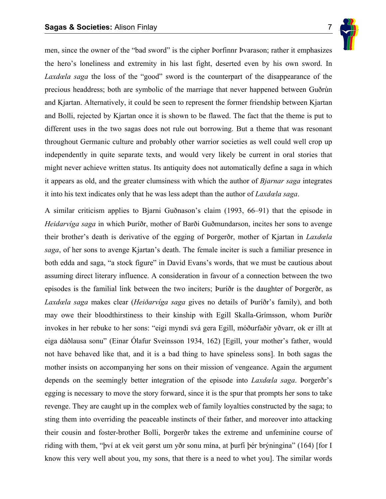

men, since the owner of the "bad sword" is the cipher Þorfinnr Þvarason; rather it emphasizes the hero's loneliness and extremity in his last fight, deserted even by his own sword. In *Laxdœla saga* the loss of the "good" sword is the counterpart of the disappearance of the precious headdress; both are symbolic of the marriage that never happened between Guðrún and Kjartan. Alternatively, it could be seen to represent the former friendship between Kjartan and Bolli, rejected by Kjartan once it is shown to be flawed. The fact that the theme is put to different uses in the two sagas does not rule out borrowing. But a theme that was resonant throughout Germanic culture and probably other warrior societies as well could well crop up independently in quite separate texts, and would very likely be current in oral stories that might never achieve written status. Its antiquity does not automatically define a saga in which it appears as old, and the greater clumsiness with which the author of *Bjarnar saga* integrates it into his text indicates only that he was less adept than the author of *Laxdœla saga*.

A similar criticism applies to Bjarni Guðnason's claim (1993, 66–91) that the episode in *Heidarvíga saga* in which Þuríðr, mother of Barði Guðmundarson, incites her sons to avenge their brother's death is derivative of the egging of Þorgerðr, mother of Kjartan in *Laxdœla saga*, of her sons to avenge Kjartan's death. The female inciter is such a familiar presence in both edda and saga, "a stock figure" in David Evans's words, that we must be cautious about assuming direct literary influence. A consideration in favour of a connection between the two episodes is the familial link between the two inciters; Þuríðr is the daughter of Þorgerðr, as *Laxdœla saga* makes clear (*Heiðarvíga saga* gives no details of Þuríðr's family), and both may owe their bloodthirstiness to their kinship with Egill Skalla-Grímsson, whom Þuríðr invokes in her rebuke to her sons: "eigi myndi svá gera Egill, móðurfaðir yðvarr, ok er illt at eiga dáðlausa sonu" (Einar Ólafur Sveinsson 1934, 162) [Egill, your mother's father, would not have behaved like that, and it is a bad thing to have spineless sons]. In both sagas the mother insists on accompanying her sons on their mission of vengeance. Again the argument depends on the seemingly better integration of the episode into *Laxdœla saga*. Þorgerðr's egging is necessary to move the story forward, since it is the spur that prompts her sons to take revenge. They are caught up in the complex web of family loyalties constructed by the saga; to sting them into overriding the peaceable instincts of their father, and moreover into attacking their cousin and foster-brother Bolli, Þorgerðr takes the extreme and unfeminine course of riding with them, "því at ek veit gørst um yðr sonu mína, at þurfi þér brýningina" (164) [for I know this very well about you, my sons, that there is a need to whet you]. The similar words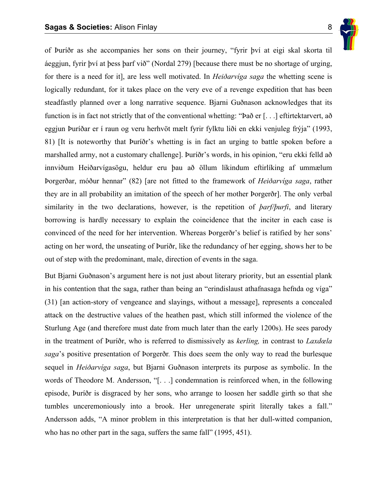

of Þuríðr as she accompanies her sons on their journey, "fyrir því at eigi skal skorta til áeggjun, fyrir því at þess þarf við" (Nordal 279) [because there must be no shortage of urging, for there is a need for it], are less well motivated. In *Heiðarvíga saga* the whetting scene is logically redundant, for it takes place on the very eve of a revenge expedition that has been steadfastly planned over a long narrative sequence. Bjarni Guðnason acknowledges that its function is in fact not strictly that of the conventional whetting: "Það er [. . .] eftirtektarvert, að eggjun Þuríðar er í raun og veru herhvöt mælt fyrir fylktu liði en ekki venjuleg frýja" (1993, 81) [It is noteworthy that Þuríðr's whetting is in fact an urging to battle spoken before a marshalled army, not a customary challenge]. Þuríðr's words, in his opinion, "eru ekki felld að innviðum Heiðarvígasögu, heldur eru þau að öllum líkindum eftirlíking af ummælum Þorgerðar, móður hennar" (82) [are not fitted to the framework of *Heiðarvíga saga*, rather they are in all probability an imitation of the speech of her mother Þorgerðr]. The only verbal similarity in the two declarations, however, is the repetition of *þarf/þurfi*, and literary borrowing is hardly necessary to explain the coincidence that the inciter in each case is convinced of the need for her intervention. Whereas Þorgerðr's belief is ratified by her sons' acting on her word, the unseating of Þuríðr, like the redundancy of her egging, shows her to be out of step with the predominant, male, direction of events in the saga.

But Bjarni Guðnason's argument here is not just about literary priority, but an essential plank in his contention that the saga, rather than being an "erindislaust athafnasaga hefnda og víga" (31) [an action-story of vengeance and slayings, without a message], represents a concealed attack on the destructive values of the heathen past, which still informed the violence of the Sturlung Age (and therefore must date from much later than the early 1200s). He sees parody in the treatment of Þuríðr, who is referred to dismissively as *kerling,* in contrast to *Laxdœla saga*'s positive presentation of Þorgerðr*.* This does seem the only way to read the burlesque sequel in *Heiðarvíga saga*, but Bjarni Guðnason interprets its purpose as symbolic. In the words of Theodore M. Andersson, "[. . .] condemnation is reinforced when, in the following episode, Þuríðr is disgraced by her sons, who arrange to loosen her saddle girth so that she tumbles unceremoniously into a brook. Her unregenerate spirit literally takes a fall." Andersson adds, "A minor problem in this interpretation is that her dull-witted companion, who has no other part in the saga, suffers the same fall" (1995, 451).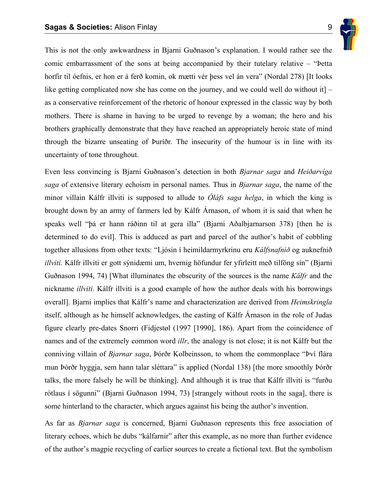

This is not the only awkwardness in Bjarni Guðnason's explanation. I would rather see the comic embarrassment of the sons at being accompanied by their tutelary relative – "Þetta horfir til óefnis, er hon er á ferð komin, ok mætti vér þess vel án vera" (Nordal 278) [It looks like getting complicated now she has come on the journey, and we could well do without it  $\vert$  – as a conservative reinforcement of the rhetoric of honour expressed in the classic way by both mothers. There is shame in having to be urged to revenge by a woman; the hero and his brothers graphically demonstrate that they have reached an appropriately heroic state of mind through the bizarre unseating of Þuríðr. The insecurity of the humour is in line with its uncertainty of tone throughout.

Even less convincing is Bjarni Guðnason's detection in both *Bjarnar saga* and *Heiðarvíga saga* of extensive literary echoism in personal names. Thus in *Bjarnar saga*, the name of the minor villain Kálfr illviti is supposed to allude to *Óláfs saga helga*, in which the king is brought down by an army of farmers led by Kálfr Árnason, of whom it is said that when he speaks well "þá er hann ráðinn til at gera illa" (Bjarni Aðalbjarnarson 378) [then he is determined to do evil]. This is adduced as part and parcel of the author's habit of cobbling together allusions from other texts: "Ljósin í heimildarmyrkrinu eru *Kálfsnafnið* og auknefnið *illviti.* Kálfr illviti er gott sýnidæmi um, hvernig höfundur fer yfirleitt með tilföng sín" (Bjarni Guðnason 1994, 74) [What illuminates the obscurity of the sources is the name *Kálfr* and the nickname *illviti*. Kálfr illviti is a good example of how the author deals with his borrowings overall]. Bjarni implies that Kálfr's name and characterization are derived from *Heimskringla*  itself, although as he himself acknowledges, the casting of Kálfr Árnason in the role of Judas figure clearly pre-dates Snorri (Fidjestøl (1997 [1990], 186). Apart from the coincidence of names and of the extremely common word *illr*, the analogy is not close; it is not Kálfr but the conniving villain of *Bjarnar saga*, Þórðr Kolbeinsson, to whom the commonplace "Því flára mun Þórðr hyggja, sem hann talar sléttara" is applied (Nordal 138) [the more smoothly Þórðr talks, the more falsely he will be thinking]. And although it is true that Kálfr illviti is "furðu rótlaus í sögunni" (Bjarni Guðnason 1994, 73) [strangely without roots in the saga], there is some hinterland to the character, which argues against his being the author's invention.

As far as *Bjarnar saga* is concerned, Bjarni Guðnason represents this free association of literary echoes, which he dubs "kálfarnir" after this example, as no more than further evidence of the author's magpie recycling of earlier sources to create a fictional text. But the symbolism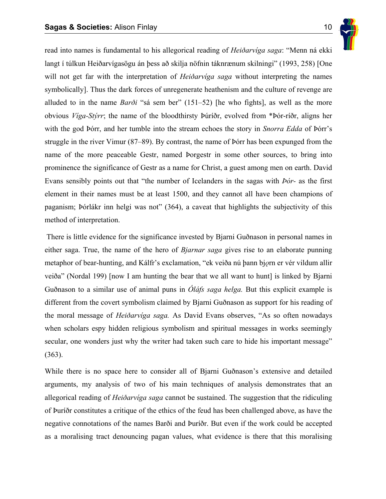

read into names is fundamental to his allegorical reading of *Heiðarvíga saga*: "Menn ná ekki langt í túlkun Heiðarvígasögu án þess að skilja nöfnin táknrænum skilningi" (1993, 258) [One will not get far with the interpretation of *Heiðarvíga saga* without interpreting the names symbolically]. Thus the dark forces of unregenerate heathenism and the culture of revenge are alluded to in the name *Barði* "sá sem ber" (151–52) [he who fights], as well as the more obvious *Víga-Stýrr*; the name of the bloodthirsty Þúríðr, evolved from \*Þór-ríðr, aligns her with the god Þórr, and her tumble into the stream echoes the story in *Snorra Edda* of Þórr's struggle in the river Vimur (87–89). By contrast, the name of Þórr has been expunged from the name of the more peaceable Gestr, named Þorgestr in some other sources, to bring into prominence the significance of Gestr as a name for Christ, a guest among men on earth. David Evans sensibly points out that "the number of Icelanders in the sagas with *Þór-* as the first element in their names must be at least 1500, and they cannot all have been champions of paganism; Þórlákr inn helgi was not" (364), a caveat that highlights the subjectivity of this method of interpretation.

 There is little evidence for the significance invested by Bjarni Guðnason in personal names in either saga. True, the name of the hero of *Bjarnar saga* gives rise to an elaborate punning metaphor of bear-hunting, and Kálfr's exclamation, "ek veiða nú þann bj*orn er vér vildum allir* veiða" (Nordal 199) [now I am hunting the bear that we all want to hunt] is linked by Bjarni Guðnason to a similar use of animal puns in *Óláfs saga helga.* But this explicit example is different from the covert symbolism claimed by Bjarni Guðnason as support for his reading of the moral message of *Heiðarvíga saga.* As David Evans observes, "As so often nowadays when scholars espy hidden religious symbolism and spiritual messages in works seemingly secular, one wonders just why the writer had taken such care to hide his important message" (363).

While there is no space here to consider all of Bjarni Guðnason's extensive and detailed arguments, my analysis of two of his main techniques of analysis demonstrates that an allegorical reading of *Heiðarvíga saga* cannot be sustained. The suggestion that the ridiculing of Þuríðr constitutes a critique of the ethics of the feud has been challenged above, as have the negative connotations of the names Barði and Þuríðr. But even if the work could be accepted as a moralising tract denouncing pagan values, what evidence is there that this moralising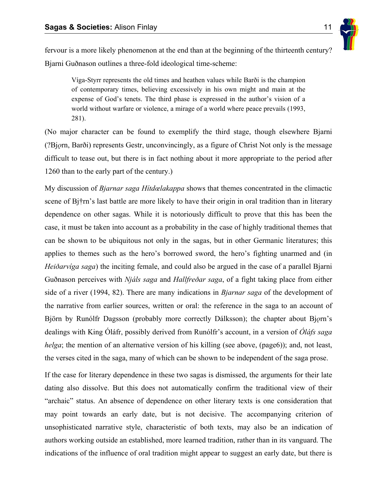

fervour is a more likely phenomenon at the end than at the beginning of the thirteenth century? Bjarni Guðnason outlines a three-fold ideological time-scheme:

Víga-Styrr represents the old times and heathen values while Barði is the champion of contemporary times, believing excessively in his own might and main at the expense of God's tenets. The third phase is expressed in the author's vision of a world without warfare or violence, a mirage of a world where peace prevails (1993, 281).

(No major character can be found to exemplify the third stage, though elsewhere Bjarni (?Bj*†*rn, Barði) represents Gestr, unconvincingly, as a figure of Christ Not only is the message difficult to tease out, but there is in fact nothing about it more appropriate to the period after 1260 than to the early part of the century.)

My discussion of *Bjarnar saga Hítdœlakappa* shows that themes concentrated in the climactic scene of Bj†rn's last battle are more likely to have their origin in oral tradition than in literary dependence on other sagas. While it is notoriously difficult to prove that this has been the case, it must be taken into account as a probability in the case of highly traditional themes that can be shown to be ubiquitous not only in the sagas, but in other Germanic literatures; this applies to themes such as the hero's borrowed sword, the hero's fighting unarmed and (in *Heiðarvíga saga*) the inciting female, and could also be argued in the case of a parallel Bjarni Guðnason perceives with *Njáls saga* and *Hallfreðar saga*, of a fight taking place from either side of a river (1994, 82). There are many indications in *Bjarnar saga* of the development of the narrative from earlier sources, written or oral: the reference in the saga to an account of Björn by Runólfr Dagsson (probably more correctly Dálksson); the chapter about Bjorn's dealings with King Óláfr, possibly derived from Runólfr's account, in a version of *Óláfs saga helga*; the mention of an alternative version of his killing (see above, (page6)); and, not least, the verses cited in the saga, many of which can be shown to be independent of the saga prose.

If the case for literary dependence in these two sagas is dismissed, the arguments for their late dating also dissolve. But this does not automatically confirm the traditional view of their "archaic" status. An absence of dependence on other literary texts is one consideration that may point towards an early date, but is not decisive. The accompanying criterion of unsophisticated narrative style, characteristic of both texts, may also be an indication of authors working outside an established, more learned tradition, rather than in its vanguard. The indications of the influence of oral tradition might appear to suggest an early date, but there is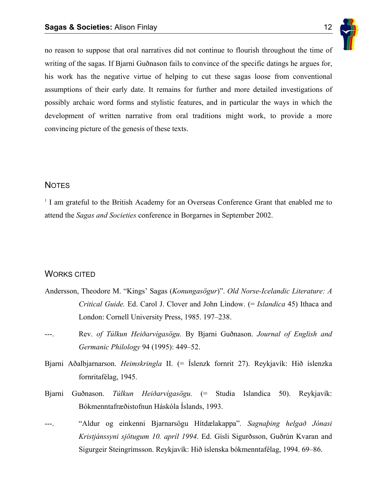

no reason to suppose that oral narratives did not continue to flourish throughout the time of writing of the sagas. If Bjarni Guðnason fails to convince of the specific datings he argues for, his work has the negative virtue of helping to cut these sagas loose from conventional assumptions of their early date. It remains for further and more detailed investigations of possibly archaic word forms and stylistic features, and in particular the ways in which the development of written narrative from oral traditions might work, to provide a more convincing picture of the genesis of these texts.

## **NOTES**

<sup>1</sup> I am grateful to the British Academy for an Overseas Conference Grant that enabled me to attend the *Sagas and Societies* conference in Borgarnes in September 2002.

## WORKS CITED

- Andersson, Theodore M. "Kings' Sagas (*Konungasögur*)". *Old Norse-Icelandic Literature: A Critical Guide.* Ed. Carol J. Clover and John Lindow. (= *Islandica* 45) Ithaca and London: Cornell University Press, 1985. 197–238.
- ---. Rev. *of Túlkun Heiðarvígasögu*. By Bjarni Guðnason. *Journal of English and Germanic Philology* 94 (1995): 449–52.
- Bjarni Aðalbjarnarson. *Heimskringla* II. (= Íslenzk fornrit 27). Reykjavík: Hið íslenzka fornritafélag, 1945.
- Bjarni Guðnason. *Túlkun Heiðarvígasögu.* (= Studia Islandica 50). Reykjavík: Bókmenntafræðistofnun Háskóla Íslands, 1993.
- ---. "Aldur og einkenni Bjarnarsögu Hítdælakappa". *Sagnaþing helgað Jónasi Kristjánssyni sjötugum 10. apríl 1994*. Ed. Gísli Sigurðsson, Guðrún Kvaran and Sigurgeir Steingrímsson. Reykjavík: Hið íslenska bókmenntafélag, 1994. 69–86.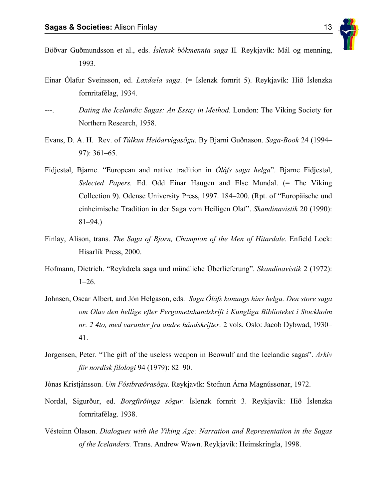

- Böðvar Guðmundsson et al., eds. *Íslensk bókmennta saga* II*.* Reykjavík: Mál og menning, 1993.
- Einar Ólafur Sveinsson, ed. *Laxdœla saga*. (= Íslenzk fornrit 5). Reykjavík: Hið Íslenzka fornritafélag, 1934.
- Dating the Icelandic Sagas: An Essay in Method. London: The Viking Society for Northern Research, 1958.
- Evans, D. A. H. Rev. of *Túlkun Heiðarvígasögu*. By Bjarni Guðnason. *Saga-Book* 24 (1994– 97): 361–65.
- Fidjestøl, Bjarne. "European and native tradition in *Óláfs saga helga*". Bjarne Fidjestøl, *Selected Papers.* Ed. Odd Einar Haugen and Else Mundal. (= The Viking Collection 9). Odense University Press, 1997. 184–200. (Rpt. of "Europäische und einheimische Tradition in der Saga vom Heiligen Olaf". *Skandinavistik* 20 (1990): 81–94.)
- Finlay, Alison, trans. *The Saga of Bjorn, Champion of the Men of Hitardale.* Enfield Lock: Hisarlik Press, 2000.
- Hofmann, Dietrich. "Reykdœla saga und mündliche Überlieferung". *Skandinavistik* 2 (1972): 1–26.
- Johnsen, Oscar Albert, and Jón Helgason, eds. *Saga Óláfs konungs hins helga. Den store saga om Olav den hellige efter Pergametnhåndskrift i Kungliga Biblioteket i Stockholm nr. 2 4to, med varanter fra andre håndskrifter.* 2 vols. Oslo: Jacob Dybwad, 1930– 41.
- Jorgensen, Peter. "The gift of the useless weapon in Beowulf and the Icelandic sagas". *Arkiv för nordisk filologi* 94 (1979): 82–90.
- Jónas Kristjánsson. *Um Fóstbræðrasögu.* Reykjavík: Stofnun Árna Magnússonar, 1972.
- Nordal, Sigurður, ed. *Borgfirðinga sögur.* Íslenzk fornrit 3. Reykjavík: Hið Íslenzka fornritafélag. 1938.
- Vésteinn Ólason. *Dialogues with the Viking Age: Narration and Representation in the Sagas of the Icelanders.* Trans. Andrew Wawn. Reykjavík: Heimskringla, 1998.